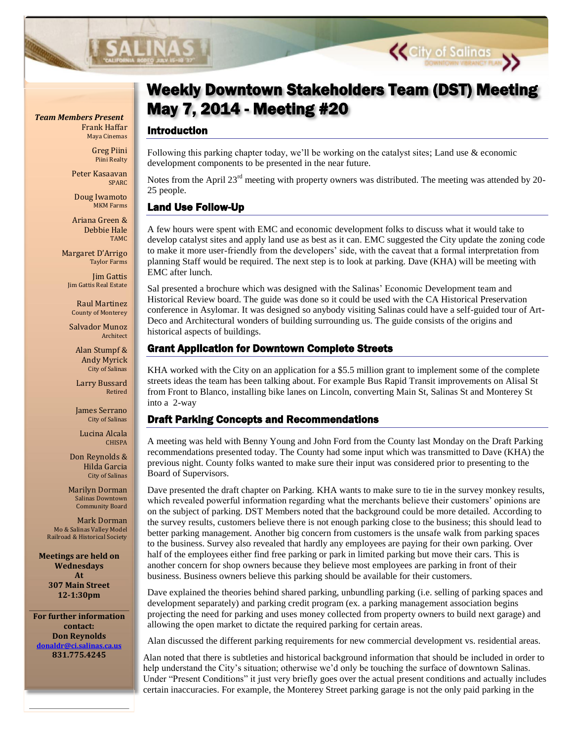

Frank Haffar Maya Cinemas

> Greg Piini Piini Realty

Peter Kasaavan SPARC

Doug Iwamoto MKM Farms

Ariana Green & Debbie Hale TAMC

Margaret D'Arrigo Taylor Farms

Jim Gattis Jim Gattis Real Estate

Raul Martinez County of Monterey

Salvador Munoz Architect

Alan Stumpf & Andy Myrick City of Salinas

Larry Bussard Retired

James Serrano City of Salinas

Lucina Alcala CHISPA

Don Reynolds & Hilda Garcia City of Salinas

Marilyn Dorman Salinas Downtown Community Board

Mark Dorman Mo & Salinas Valley Model Railroad & Historical Society

**Meetings are held on Wednesdays At 307 Main Street 12-1:30pm**

**For further information contact: Don Reynolds [donaldr@ci.salinas.ca.us](mailto:donaldr@ci.salinas.ca.us) 831.775.4245**

# May 7, 2014 - Meeting #20 *Team Members Present* Weekly Downtown Stakeholders Team (DST) Meeting

**Page 2 Salinas Vibrancy Planning – Weekly DST Meetings**

#### Introduction

Following this parking chapter today, we'll be working on the catalyst sites; Land use & economic development components to be presented in the near future.

Notes from the April 23<sup>rd</sup> meeting with property owners was distributed. The meeting was attended by 20-25 people.

### Land Use Follow-Up

A few hours were spent with EMC and economic development folks to discuss what it would take to develop catalyst sites and apply land use as best as it can. EMC suggested the City update the zoning code to make it more user-friendly from the developers' side, with the caveat that a formal interpretation from planning Staff would be required. The next step is to look at parking. Dave (KHA) will be meeting with EMC after lunch.

Sal presented a brochure which was designed with the Salinas' Economic Development team and Historical Review board. The guide was done so it could be used with the CA Historical Preservation conference in Asylomar. It was designed so anybody visiting Salinas could have a self-guided tour of Art-Deco and Architectural wonders of building surrounding us. The guide consists of the origins and historical aspects of buildings.

### Grant Application for Downtown Complete Streets

KHA worked with the City on an application for a \$5.5 million grant to implement some of the complete streets ideas the team has been talking about. For example Bus Rapid Transit improvements on Alisal St from Front to Blanco, installing bike lanes on Lincoln, converting Main St, Salinas St and Monterey St into a 2-way

## Draft Parking Concepts and Recommendations

A meeting was held with Benny Young and John Ford from the County last Monday on the Draft Parking recommendations presented today. The County had some input which was transmitted to Dave (KHA) the previous night. County folks wanted to make sure their input was considered prior to presenting to the Board of Supervisors.

Dave presented the draft chapter on Parking. KHA wants to make sure to tie in the survey monkey results, which revealed powerful information regarding what the merchants believe their customers' opinions are on the subject of parking. DST Members noted that the background could be more detailed. According to the survey results, customers believe there is not enough parking close to the business; this should lead to better parking management. Another big concern from customers is the unsafe walk from parking spaces to the business. Survey also revealed that hardly any employees are paying for their own parking. Over half of the employees either find free parking or park in limited parking but move their cars. This is another concern for shop owners because they believe most employees are parking in front of their business. Business owners believe this parking should be available for their customers.

Dave explained the theories behind shared parking, unbundling parking (i.e. selling of parking spaces and development separately) and parking credit program (ex. a parking management association begins projecting the need for parking and uses money collected from property owners to build next garage) and allowing the open market to dictate the required parking for certain areas.

Alan discussed the different parking requirements for new commercial development vs. residential areas.

Alan noted that there is subtleties and historical background information that should be included in order to help understand the City's situation; otherwise we'd only be touching the surface of downtown Salinas. Under "Present Conditions" it just very briefly goes over the actual present conditions and actually includes certain inaccuracies. For example, the Monterey Street parking garage is not the only paid parking in the